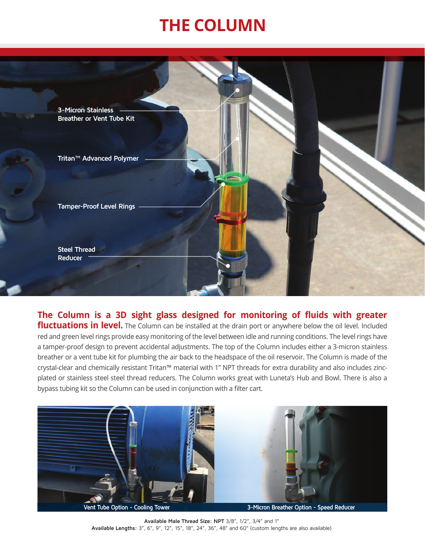## **THE COLUMN**



## **The Column is a 3D sight glass designed for monitoring of fluids with greater**

fluctuations in level. The Column can be installed at the drain port or anywhere below the oil level. Included red and green level rings provide easy monitoring of the level between idle and running conditions. The level rings have a tamper-proof design to prevent accidental adjustments. The top of the Column includes either a 3-micron stainless breather or a vent tube kit for plumbing the air back to the headspace of the oil reservoir. The Column is made of the crystal-clear and chemically resistant Tritan™ material with 1" NPT threads for extra durability and also includes zincplated or stainless steel steel thread reducers. The Column works great with Luneta's Hub and Bowl. There is also a bypass tubing kit so the Column can be used in conjunction with a filter cart.



**Available Male Thread Size: NPT** 3/8", 1/2", 3/4" and 1" **Available Lengths:** 3", 6", 9", 12", 15", 18", 24", 36", 48" and 60" (custom lengths are also available)